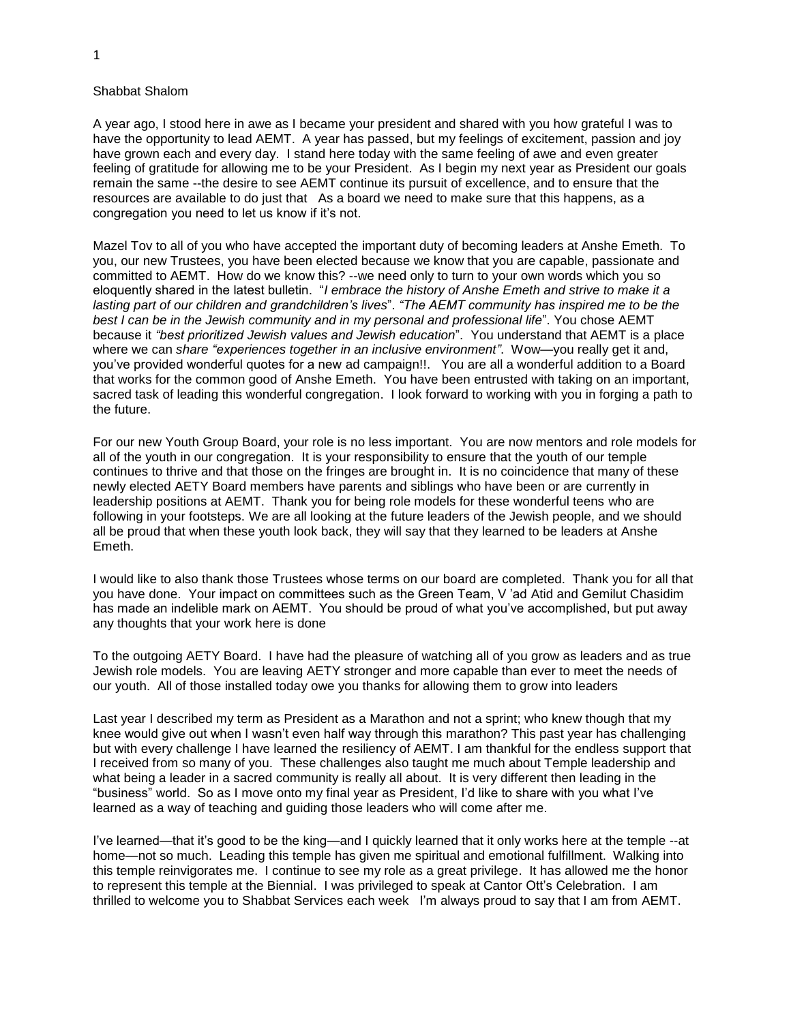## Shabbat Shalom

A year ago, I stood here in awe as I became your president and shared with you how grateful I was to have the opportunity to lead AEMT. A year has passed, but my feelings of excitement, passion and joy have grown each and every day. I stand here today with the same feeling of awe and even greater feeling of gratitude for allowing me to be your President. As I begin my next year as President our goals remain the same --the desire to see AEMT continue its pursuit of excellence, and to ensure that the resources are available to do just that As a board we need to make sure that this happens, as a congregation you need to let us know if it's not.

Mazel Tov to all of you who have accepted the important duty of becoming leaders at Anshe Emeth. To you, our new Trustees, you have been elected because we know that you are capable, passionate and committed to AEMT. How do we know this? --we need only to turn to your own words which you so eloquently shared in the latest bulletin. "*I embrace the history of Anshe Emeth and strive to make it a lasting part of our children and grandchildren's lives*". *"The AEMT community has inspired me to be the best I can be in the Jewish community and in my personal and professional life*". You chose AEMT because it *"best prioritized Jewish values and Jewish education*". You understand that AEMT is a place where we can *share "experiences together in an inclusive environment"*. Wow—you really get it and, you've provided wonderful quotes for a new ad campaign!!. You are all a wonderful addition to a Board that works for the common good of Anshe Emeth. You have been entrusted with taking on an important, sacred task of leading this wonderful congregation. I look forward to working with you in forging a path to the future.

For our new Youth Group Board, your role is no less important. You are now mentors and role models for all of the youth in our congregation. It is your responsibility to ensure that the youth of our temple continues to thrive and that those on the fringes are brought in. It is no coincidence that many of these newly elected AETY Board members have parents and siblings who have been or are currently in leadership positions at AEMT. Thank you for being role models for these wonderful teens who are following in your footsteps. We are all looking at the future leaders of the Jewish people, and we should all be proud that when these youth look back, they will say that they learned to be leaders at Anshe Emeth.

I would like to also thank those Trustees whose terms on our board are completed. Thank you for all that you have done. Your impact on committees such as the Green Team, V 'ad Atid and Gemilut Chasidim has made an indelible mark on AEMT. You should be proud of what you've accomplished, but put away any thoughts that your work here is done

To the outgoing AETY Board. I have had the pleasure of watching all of you grow as leaders and as true Jewish role models. You are leaving AETY stronger and more capable than ever to meet the needs of our youth. All of those installed today owe you thanks for allowing them to grow into leaders

Last year I described my term as President as a Marathon and not a sprint; who knew though that my knee would give out when I wasn't even half way through this marathon? This past year has challenging but with every challenge I have learned the resiliency of AEMT. I am thankful for the endless support that I received from so many of you. These challenges also taught me much about Temple leadership and what being a leader in a sacred community is really all about. It is very different then leading in the "business" world. So as I move onto my final year as President, I'd like to share with you what I've learned as a way of teaching and guiding those leaders who will come after me.

I've learned—that it's good to be the king—and I quickly learned that it only works here at the temple --at home—not so much. Leading this temple has given me spiritual and emotional fulfillment. Walking into this temple reinvigorates me. I continue to see my role as a great privilege. It has allowed me the honor to represent this temple at the Biennial. I was privileged to speak at Cantor Ott's Celebration. I am thrilled to welcome you to Shabbat Services each week I'm always proud to say that I am from AEMT.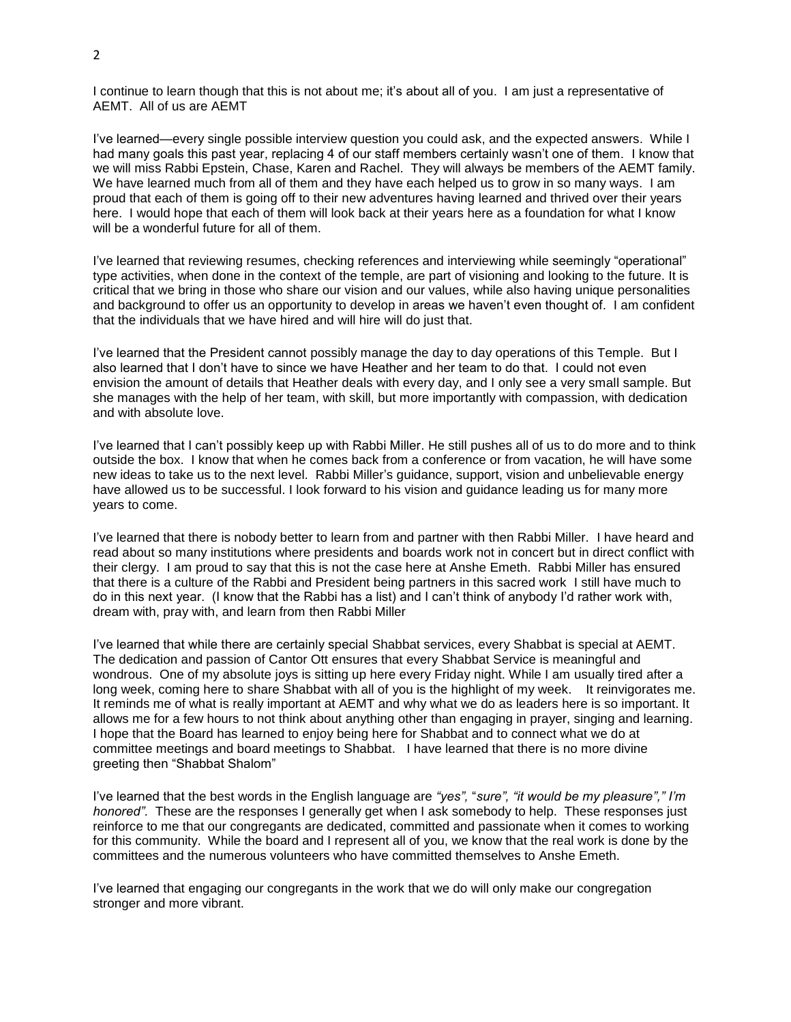I continue to learn though that this is not about me; it's about all of you. I am just a representative of AEMT. All of us are AEMT

I've learned—every single possible interview question you could ask, and the expected answers. While I had many goals this past year, replacing 4 of our staff members certainly wasn't one of them. I know that we will miss Rabbi Epstein, Chase, Karen and Rachel. They will always be members of the AEMT family. We have learned much from all of them and they have each helped us to grow in so many ways. I am proud that each of them is going off to their new adventures having learned and thrived over their years here. I would hope that each of them will look back at their years here as a foundation for what I know will be a wonderful future for all of them.

I've learned that reviewing resumes, checking references and interviewing while seemingly "operational" type activities, when done in the context of the temple, are part of visioning and looking to the future. It is critical that we bring in those who share our vision and our values, while also having unique personalities and background to offer us an opportunity to develop in areas we haven't even thought of. I am confident that the individuals that we have hired and will hire will do just that.

I've learned that the President cannot possibly manage the day to day operations of this Temple. But I also learned that I don't have to since we have Heather and her team to do that. I could not even envision the amount of details that Heather deals with every day, and I only see a very small sample. But she manages with the help of her team, with skill, but more importantly with compassion, with dedication and with absolute love.

I've learned that I can't possibly keep up with Rabbi Miller. He still pushes all of us to do more and to think outside the box. I know that when he comes back from a conference or from vacation, he will have some new ideas to take us to the next level. Rabbi Miller's guidance, support, vision and unbelievable energy have allowed us to be successful. I look forward to his vision and guidance leading us for many more years to come.

I've learned that there is nobody better to learn from and partner with then Rabbi Miller. I have heard and read about so many institutions where presidents and boards work not in concert but in direct conflict with their clergy. I am proud to say that this is not the case here at Anshe Emeth. Rabbi Miller has ensured that there is a culture of the Rabbi and President being partners in this sacred work I still have much to do in this next year. (I know that the Rabbi has a list) and I can't think of anybody I'd rather work with, dream with, pray with, and learn from then Rabbi Miller

I've learned that while there are certainly special Shabbat services, every Shabbat is special at AEMT. The dedication and passion of Cantor Ott ensures that every Shabbat Service is meaningful and wondrous. One of my absolute joys is sitting up here every Friday night. While I am usually tired after a long week, coming here to share Shabbat with all of you is the highlight of my week. It reinvigorates me. It reminds me of what is really important at AEMT and why what we do as leaders here is so important. It allows me for a few hours to not think about anything other than engaging in prayer, singing and learning. I hope that the Board has learned to enjoy being here for Shabbat and to connect what we do at committee meetings and board meetings to Shabbat. I have learned that there is no more divine greeting then "Shabbat Shalom"

I've learned that the best words in the English language are *"yes",* "*sure", "it would be my pleasure"," I'm honored".* These are the responses I generally get when I ask somebody to help. These responses just reinforce to me that our congregants are dedicated, committed and passionate when it comes to working for this community. While the board and I represent all of you, we know that the real work is done by the committees and the numerous volunteers who have committed themselves to Anshe Emeth.

I've learned that engaging our congregants in the work that we do will only make our congregation stronger and more vibrant.